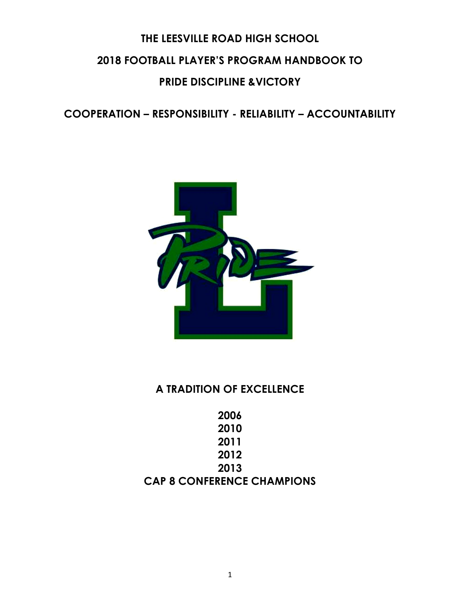# **THE LEESVILLE ROAD HIGH SCHOOL 2018 FOOTBALL PLAYER'S PROGRAM HANDBOOK TO PRIDE DISCIPLINE &VICTORY**

**COOPERATION – RESPONSIBILITY - RELIABILITY – ACCOUNTABILITY**



## **A TRADITION OF EXCELLENCE**

**2006 2010 2011 2012 2013 CAP 8 CONFERENCE CHAMPIONS**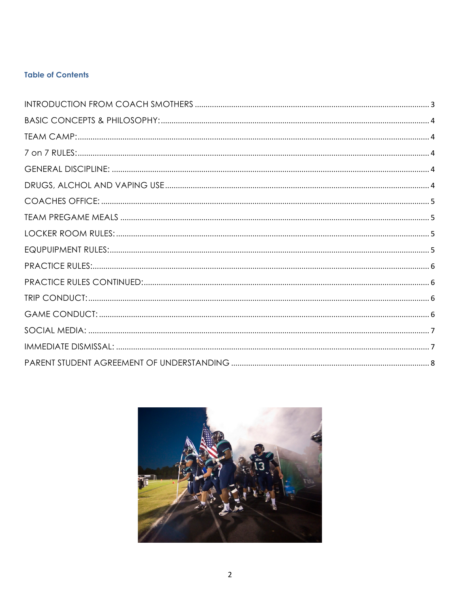### **Table of Contents**

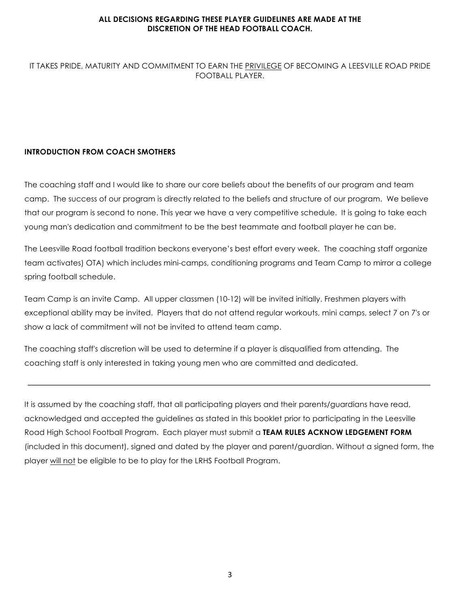#### **ALL DECISIONS REGARDING THESE PLAYER GUIDELINES ARE MADE AT THE DISCRETION OF THE HEAD FOOTBALL COACH.**

#### IT TAKES PRIDE, MATURITY AND COMMITMENT TO EARN THE PRIVILEGE OF BECOMING A LEESVILLE ROAD PRIDE FOOTBALL PLAYER.

#### **INTRODUCTION FROM COACH SMOTHERS**

The coaching staff and I would like to share our core beliefs about the benefits of our program and team camp. The success of our program is directly related to the beliefs and structure of our program. We believe that our program is second to none. This year we have a very competitive schedule. It is going to take each young man's dedication and commitment to be the best teammate and football player he can be.

The Leesville Road football tradition beckons everyone's best effort every week. The coaching staff organize team activates) OTA) which includes mini-camps, conditioning programs and Team Camp to mirror a college spring football schedule.

Team Camp is an invite Camp. All upper classmen (10-12) will be invited initially. Freshmen players with exceptional ability may be invited. Players that do not attend regular workouts, mini camps, select 7 on 7's or show a lack of commitment will not be invited to attend team camp.

The coaching staff's discretion will be used to determine if a player is disqualified from attending. The coaching staff is only interested in taking young men who are committed and dedicated.

It is assumed by the coaching staff, that all participating players and their parents/guardians have read, acknowledged and accepted the guidelines as stated in this booklet prior to participating in the Leesville Road High School Football Program. Each player must submit a **TEAM RULES ACKNOW LEDGEMENT FORM**  (included in this document), signed and dated by the player and parent/guardian. Without a signed form, the player will not be eligible to be to play for the LRHS Football Program.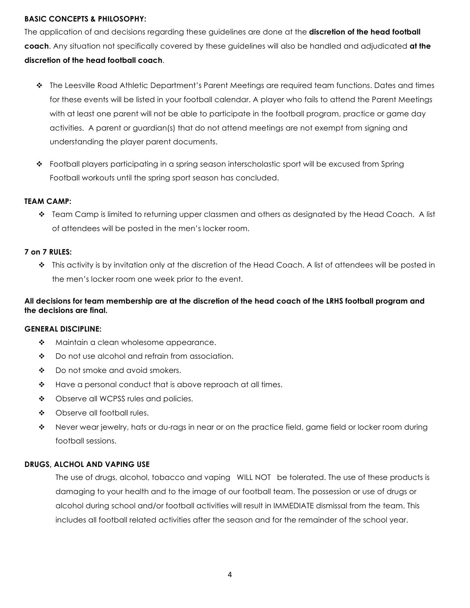#### **BASIC CONCEPTS & PHILOSOPHY:**

The application of and decisions regarding these guidelines are done at the **discretion of the head football coach**. Any situation not specifically covered by these guidelines will also be handled and adjudicated **at the discretion of the head football coach**.

- v The Leesville Road Athletic Department's Parent Meetings are required team functions. Dates and times for these events will be listed in your football calendar. A player who fails to attend the Parent Meetings with at least one parent will not be able to participate in the football program, practice or game day activities. A parent or guardian(s) that do not attend meetings are not exempt from signing and understanding the player parent documents.
- \* Football players participating in a spring season interscholastic sport will be excused from Spring Football workouts until the spring sport season has concluded.

#### **TEAM CAMP:**

v Team Camp is limited to returning upper classmen and others as designated by the Head Coach. A list of attendees will be posted in the men's locker room.

#### **7 on 7 RULES:**

v This activity is by invitation only at the discretion of the Head Coach. A list of attendees will be posted in the men's locker room one week prior to the event.

#### **All decisions for team membership are at the discretion of the head coach of the LRHS football program and the decisions are final.**

#### **GENERAL DISCIPLINE:**

- $\div$  Maintain a clean wholesome appearance.
- $\bullet$  Do not use alcohol and refrain from association.
- $\div$  Do not smoke and avoid smokers.
- $\div$  Have a personal conduct that is above reproach at all times.
- Observe all WCPSS rules and policies.
- Observe all football rules.
- $\bullet$  Never wear jewelry, hats or du-rags in near or on the practice field, game field or locker room during football sessions.

#### **DRUGS, ALCHOL AND VAPING USE**

The use of drugs, alcohol, tobacco and vaping WILL NOT be tolerated. The use of these products is damaging to your health and to the image of our football team. The possession or use of drugs or alcohol during school and/or football activities will result in IMMEDIATE dismissal from the team. This includes all football related activities after the season and for the remainder of the school year.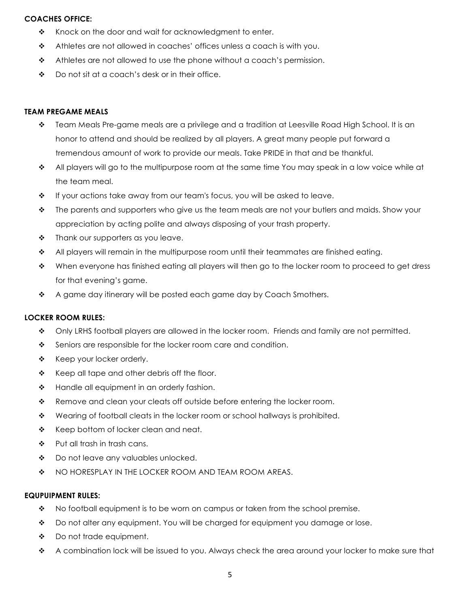#### **COACHES OFFICE:**

- $\cdot \cdot$  Knock on the door and wait for acknowledgment to enter.
- $\triangleleft$  Athletes are not allowed in coaches' offices unless a coach is with you.
- $\triangleleft$  Athletes are not allowed to use the phone without a coach's permission.
- $\bullet$  Do not sit at a coach's desk or in their office.

#### **TEAM PREGAME MEALS**

- $\clubsuit$  Team Meals Pre-game meals are a privilege and a tradition at Leesville Road High School. It is an honor to attend and should be realized by all players. A great many people put forward a tremendous amount of work to provide our meals. Take PRIDE in that and be thankful.
- $\cdot \cdot$  All players will go to the multipurpose room at the same time You may speak in a low voice while at the team meal.
- $\div$  If your actions take away from our team's focus, you will be asked to leave.
- \* The parents and supporters who give us the team meals are not your butlers and maids. Show your appreciation by acting polite and always disposing of your trash property.
- $\div$  Thank our supporters as you leave.
- \* All players will remain in the multipurpose room until their teammates are finished eating.
- $\bullet$  When everyone has finished eating all players will then go to the locker room to proceed to get dress for that evening's game.
- \* A game day itinerary will be posted each game day by Coach Smothers.

#### **LOCKER ROOM RULES:**

- $\bullet$  Only LRHS football players are allowed in the locker room. Friends and family are not permitted.
- Seniors are responsible for the locker room care and condition.
- \* Keep your locker orderly.
- $\div$  Keep all tape and other debris off the floor.
- $\cdot \cdot$  Handle all equipment in an orderly fashion.
- \* Remove and clean your cleats off outside before entering the locker room.
- $\div$  Wearing of football cleats in the locker room or school hallways is prohibited.
- \* Keep bottom of locker clean and neat.
- $\div$  Put all trash in trash cans.
- ❖ Do not leave any valuables unlocked.
- $\div$  NO HORESPLAY IN THE LOCKER ROOM AND TEAM ROOM AREAS.

#### **EQUPUIPMENT RULES:**

- $\bullet$  No football equipment is to be worn on campus or taken from the school premise.
- ◆ Do not alter any equipment. You will be charged for equipment you damage or lose.
- $\div$  Do not trade equipment.
- $\bullet$  A combination lock will be issued to you. Always check the area around your locker to make sure that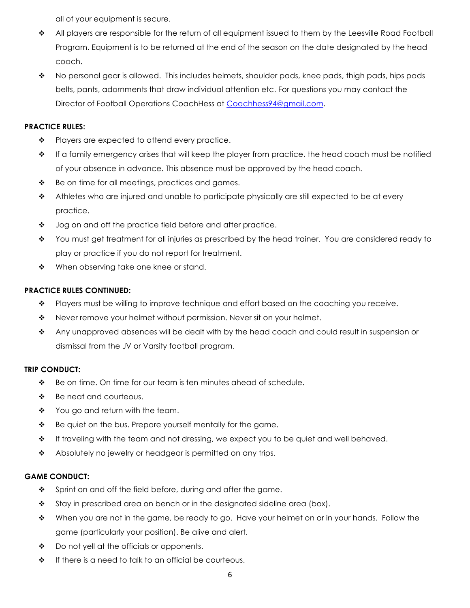all of your equipment is secure.

- \* All players are responsible for the return of all equipment issued to them by the Leesville Road Football Program. Equipment is to be returned at the end of the season on the date designated by the head coach.
- \* No personal gear is allowed. This includes helmets, shoulder pads, knee pads, thigh pads, hips pads belts, pants, adornments that draw individual attention etc. For questions you may contact the Director of Football Operations CoachHess at Coachhess94@gmail.com.

#### **PRACTICE RULES:**

- $\div$  Players are expected to attend every practice.
- $\cdot \cdot$  If a family emergency arises that will keep the player from practice, the head coach must be notified of your absence in advance. This absence must be approved by the head coach.
- $\div$  Be on time for all meetings, practices and games.
- $\triangle$  Athletes who are injured and unable to participate physically are still expected to be at every practice.
- $\cdot$  Jog on and off the practice field before and after practice.
- $\bullet$  You must get treatment for all injuries as prescribed by the head trainer. You are considered ready to play or practice if you do not report for treatment.
- When observing take one knee or stand.

#### **PRACTICE RULES CONTINUED:**

- \* Players must be willing to improve technique and effort based on the coaching you receive.
- $\bullet$  Never remove your helmet without permission. Never sit on your helmet.
- \* Any unapproved absences will be dealt with by the head coach and could result in suspension or dismissal from the JV or Varsity football program.

#### **TRIP CONDUCT:**

- $\bullet$  Be on time. On time for our team is ten minutes ahead of schedule.
- $\div$  Be neat and courteous.
- $\div$  You go and return with the team.
- $\cdot \cdot$  Be quiet on the bus. Prepare yourself mentally for the game.
- \* If traveling with the team and not dressing, we expect you to be quiet and well behaved.
- $\cdot$  Absolutely no jewelry or headgear is permitted on any trips.

#### **GAME CONDUCT:**

- \* Sprint on and off the field before, during and after the game.
- $\div$  Stay in prescribed area on bench or in the designated sideline area (box).
- \* When you are not in the game, be ready to go. Have your helmet on or in your hands. Follow the game (particularly your position). Be alive and alert.
- $\bullet$  Do not yell at the officials or opponents.
- $\cdot \cdot$  If there is a need to talk to an official be courteous.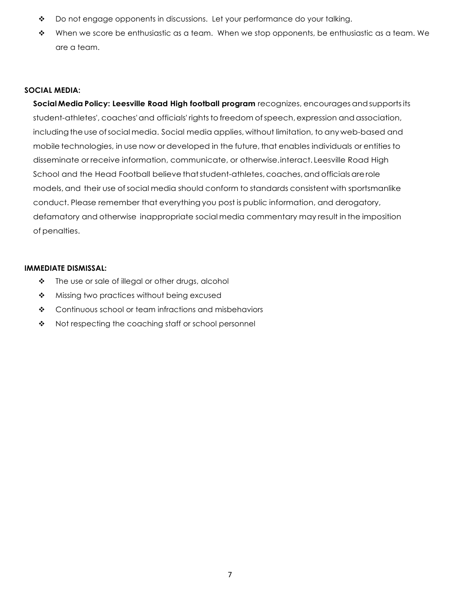- \* Do not engage opponents in discussions. Let your performance do your talking.
- $\bullet$  When we score be enthusiastic as a team. When we stop opponents, be enthusiastic as a team. We are a team.

#### **SOCIAL MEDIA:**

**Social Media Policy: Leesville Road High football program** recognizes, encourages andsupportsits student-athletes', coaches' and officials' rights to freedom of speech, expression and association, including the use of social media. Social media applies, without limitation, to any web-based and mobile technologies, in use now or developed in the future, that enables individuals or entities to disseminate or receive information, communicate, or otherwise.interact. Leesville Road High School and the Head Football believe that student-athletes, coaches, and officials are role models,and their use ofsocial media should conform to standards consistent with sportsmanlike conduct. Please remember that everything you post is public information, and derogatory, defamatory and otherwise inappropriate social media commentary may result in the imposition of penalties.

#### **IMMEDIATE DISMISSAL:**

- $\cdot \cdot$  The use or sale of illegal or other drugs, alcohol
- \* Missing two practices without being excused
- ◆ Continuous school or team infractions and misbehaviors
- Not respecting the coaching staff or school personnel